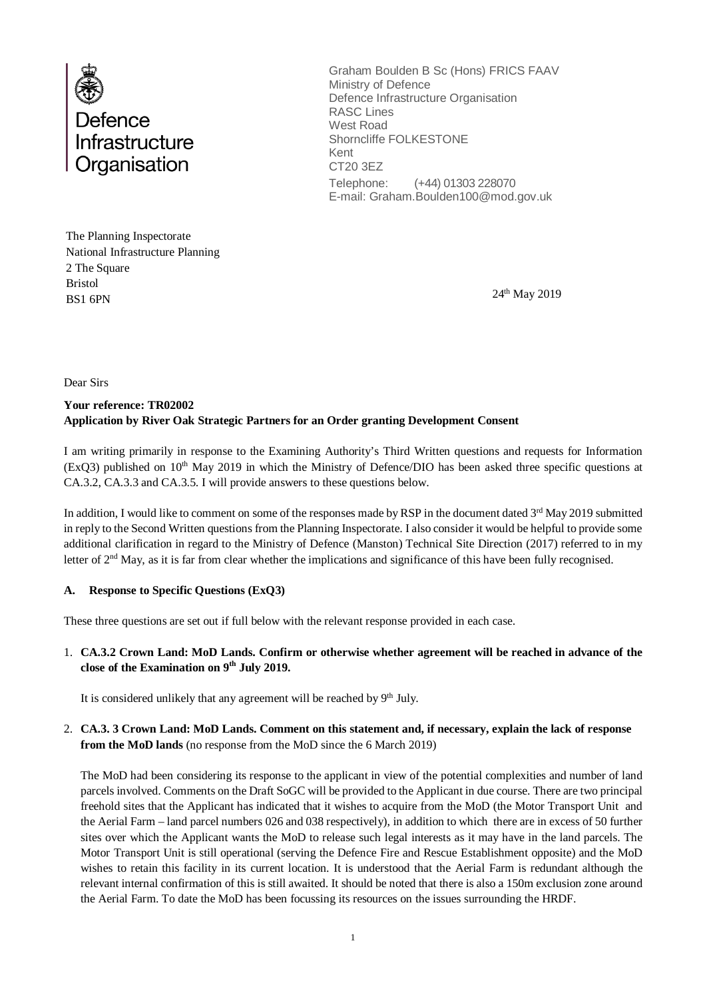

Graham Boulden B Sc (Hons) FRICS FAAV Ministry of Defence Defence Infrastructure Organisation RASC Lines West Road Shorncliffe FOLKESTONE Kent CT20 3EZ Telephone: (+44) 01303 228070 E-mail: Graham.Boulden100@mod.gov.uk

The Planning Inspectorate National Infrastructure Planning 2 The Square Bristol  $BSI$  6PN  $24<sup>th</sup>$  May 2019

Dear Sirs

## **Your reference: TR02002 Application by River Oak Strategic Partners for an Order granting Development Consent**

I am writing primarily in response to the Examining Authority's Third Written questions and requests for Information  $(ExQ3)$  published on 10<sup>th</sup> May 2019 in which the Ministry of Defence/DIO has been asked three specific questions at CA.3.2, CA.3.3 and CA.3.5. I will provide answers to these questions below.

In addition, I would like to comment on some of the responses made by RSP in the document dated  $3<sup>rd</sup>$  May 2019 submitted in reply to the Second Written questions from the Planning Inspectorate. I also consider it would be helpful to provide some additional clarification in regard to the Ministry of Defence (Manston) Technical Site Direction (2017) referred to in my letter of 2<sup>nd</sup> May, as it is far from clear whether the implications and significance of this have been fully recognised.

### **A. Response to Specific Questions (ExQ3)**

These three questions are set out if full below with the relevant response provided in each case.

1. **CA.3.2 Crown Land: MoD Lands. Confirm or otherwise whether agreement will be reached in advance of the close of the Examination on 9th July 2019.**

It is considered unlikely that any agreement will be reached by  $9<sup>th</sup>$  July.

### 2. **CA.3. 3 Crown Land: MoD Lands. Comment on this statement and, if necessary, explain the lack of response from the MoD lands** (no response from the MoD since the 6 March 2019)

The MoD had been considering its response to the applicant in view of the potential complexities and number of land parcels involved. Comments on the Draft SoGC will be provided to the Applicant in due course. There are two principal freehold sites that the Applicant has indicated that it wishes to acquire from the MoD (the Motor Transport Unit and the Aerial Farm – land parcel numbers 026 and 038 respectively), in addition to which there are in excess of 50 further sites over which the Applicant wants the MoD to release such legal interests as it may have in the land parcels. The Motor Transport Unit is still operational (serving the Defence Fire and Rescue Establishment opposite) and the MoD wishes to retain this facility in its current location. It is understood that the Aerial Farm is redundant although the relevant internal confirmation of this is still awaited. It should be noted that there is also a 150m exclusion zone around the Aerial Farm. To date the MoD has been focussing its resources on the issues surrounding the HRDF.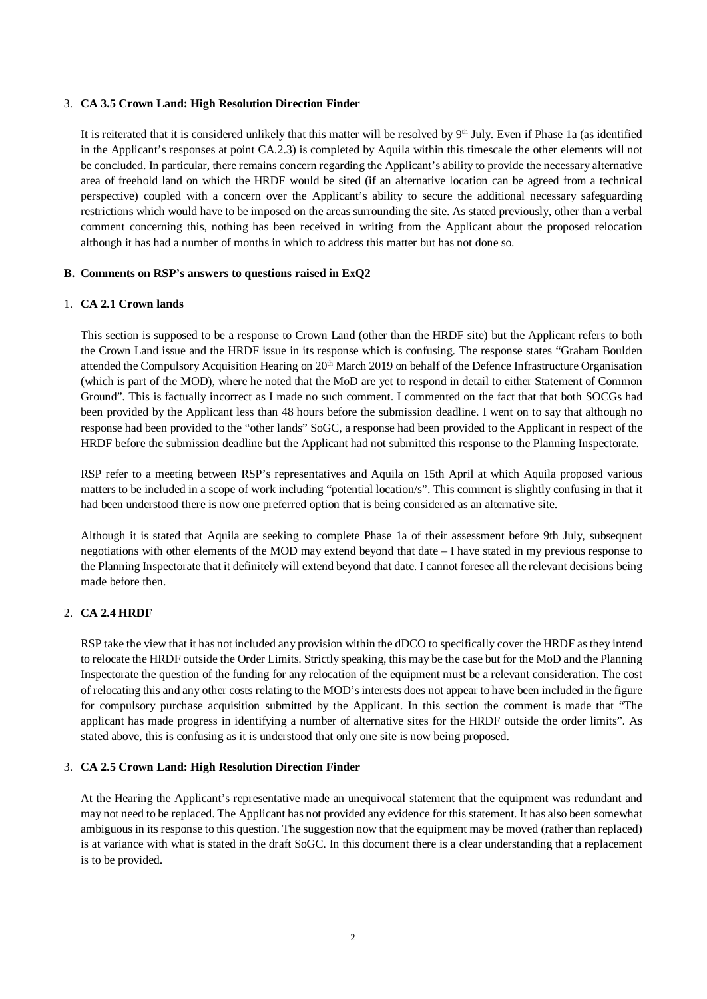#### 3. **CA 3.5 Crown Land: High Resolution Direction Finder**

It is reiterated that it is considered unlikely that this matter will be resolved by 9<sup>th</sup> July. Even if Phase 1a (as identified in the Applicant's responses at point CA.2.3) is completed by Aquila within this timescale the other elements will not be concluded. In particular, there remains concern regarding the Applicant's ability to provide the necessary alternative area of freehold land on which the HRDF would be sited (if an alternative location can be agreed from a technical perspective) coupled with a concern over the Applicant's ability to secure the additional necessary safeguarding restrictions which would have to be imposed on the areas surrounding the site. As stated previously, other than a verbal comment concerning this, nothing has been received in writing from the Applicant about the proposed relocation although it has had a number of months in which to address this matter but has not done so.

### **B. Comments on RSP's answers to questions raised in ExQ2**

#### 1. **CA 2.1 Crown lands**

This section is supposed to be a response to Crown Land (other than the HRDF site) but the Applicant refers to both the Crown Land issue and the HRDF issue in its response which is confusing. The response states "Graham Boulden attended the Compulsory Acquisition Hearing on  $20<sup>th</sup>$  March 2019 on behalf of the Defence Infrastructure Organisation (which is part of the MOD), where he noted that the MoD are yet to respond in detail to either Statement of Common Ground". This is factually incorrect as I made no such comment. I commented on the fact that that both SOCGs had been provided by the Applicant less than 48 hours before the submission deadline. I went on to say that although no response had been provided to the "other lands" SoGC, a response had been provided to the Applicant in respect of the HRDF before the submission deadline but the Applicant had not submitted this response to the Planning Inspectorate.

RSP refer to a meeting between RSP's representatives and Aquila on 15th April at which Aquila proposed various matters to be included in a scope of work including "potential location/s". This comment is slightly confusing in that it had been understood there is now one preferred option that is being considered as an alternative site.

Although it is stated that Aquila are seeking to complete Phase 1a of their assessment before 9th July, subsequent negotiations with other elements of the MOD may extend beyond that date – I have stated in my previous response to the Planning Inspectorate that it definitely will extend beyond that date. I cannot foresee all the relevant decisions being made before then.

### 2. **CA 2.4 HRDF**

RSP take the view that it has not included any provision within the dDCO to specifically cover the HRDF as they intend to relocate the HRDF outside the Order Limits. Strictly speaking, this may be the case but for the MoD and the Planning Inspectorate the question of the funding for any relocation of the equipment must be a relevant consideration. The cost of relocating this and any other costs relating to the MOD's interests does not appear to have been included in the figure for compulsory purchase acquisition submitted by the Applicant. In this section the comment is made that "The applicant has made progress in identifying a number of alternative sites for the HRDF outside the order limits". As stated above, this is confusing as it is understood that only one site is now being proposed.

#### 3. **CA 2.5 Crown Land: High Resolution Direction Finder**

At the Hearing the Applicant's representative made an unequivocal statement that the equipment was redundant and may not need to be replaced. The Applicant has not provided any evidence for this statement. It has also been somewhat ambiguous in its response to this question. The suggestion now that the equipment may be moved (rather than replaced) is at variance with what is stated in the draft SoGC. In this document there is a clear understanding that a replacement is to be provided.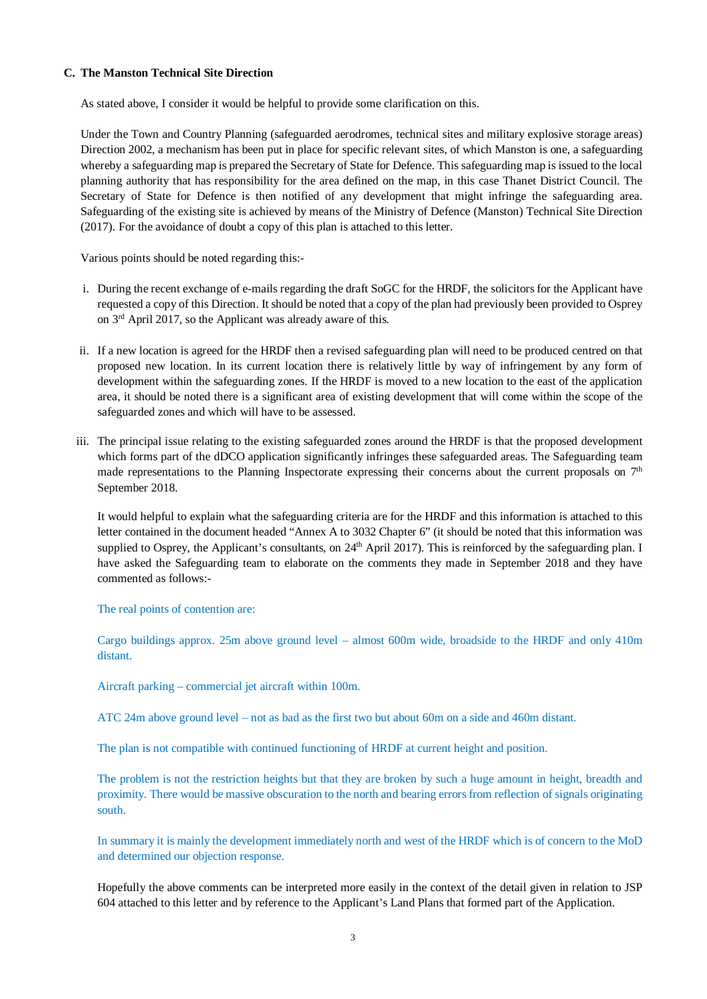#### **C. The Manston Technical Site Direction**

As stated above, I consider it would be helpful to provide some clarification on this.

Under the Town and Country Planning (safeguarded aerodromes, technical sites and military explosive storage areas) Direction 2002, a mechanism has been put in place for specific relevant sites, of which Manston is one, a safeguarding whereby a safeguarding map is prepared the Secretary of State for Defence. This safeguarding map is issued to the local planning authority that has responsibility for the area defined on the map, in this case Thanet District Council. The Secretary of State for Defence is then notified of any development that might infringe the safeguarding area. Safeguarding of the existing site is achieved by means of the Ministry of Defence (Manston) Technical Site Direction (2017). For the avoidance of doubt a copy of this plan is attached to this letter.

Various points should be noted regarding this:-

- i. During the recent exchange of e-mails regarding the draft SoGC for the HRDF, the solicitors for the Applicant have requested a copy of this Direction. It should be noted that a copy of the plan had previously been provided to Osprey on 3rd April 2017, so the Applicant was already aware of this.
- ii. If a new location is agreed for the HRDF then a revised safeguarding plan will need to be produced centred on that proposed new location. In its current location there is relatively little by way of infringement by any form of development within the safeguarding zones. If the HRDF is moved to a new location to the east of the application area, it should be noted there is a significant area of existing development that will come within the scope of the safeguarded zones and which will have to be assessed.
- iii. The principal issue relating to the existing safeguarded zones around the HRDF is that the proposed development which forms part of the dDCO application significantly infringes these safeguarded areas. The Safeguarding team made representations to the Planning Inspectorate expressing their concerns about the current proposals on  $7<sup>th</sup>$ September 2018.

It would helpful to explain what the safeguarding criteria are for the HRDF and this information is attached to this letter contained in the document headed "Annex A to 3032 Chapter 6" (it should be noted that this information was supplied to Osprey, the Applicant's consultants, on 24<sup>th</sup> April 2017). This is reinforced by the safeguarding plan. I have asked the Safeguarding team to elaborate on the comments they made in September 2018 and they have commented as follows:-

The real points of contention are:

Cargo buildings approx. 25m above ground level – almost 600m wide, broadside to the HRDF and only 410m distant.

Aircraft parking – commercial jet aircraft within 100m.

ATC 24m above ground level – not as bad as the first two but about 60m on a side and 460m distant.

The plan is not compatible with continued functioning of HRDF at current height and position.

The problem is not the restriction heights but that they are broken by such a huge amount in height, breadth and proximity. There would be massive obscuration to the north and bearing errors from reflection of signals originating south.

In summary it is mainly the development immediately north and west of the HRDF which is of concern to the MoD and determined our objection response.

Hopefully the above comments can be interpreted more easily in the context of the detail given in relation to JSP 604 attached to this letter and by reference to the Applicant's Land Plans that formed part of the Application.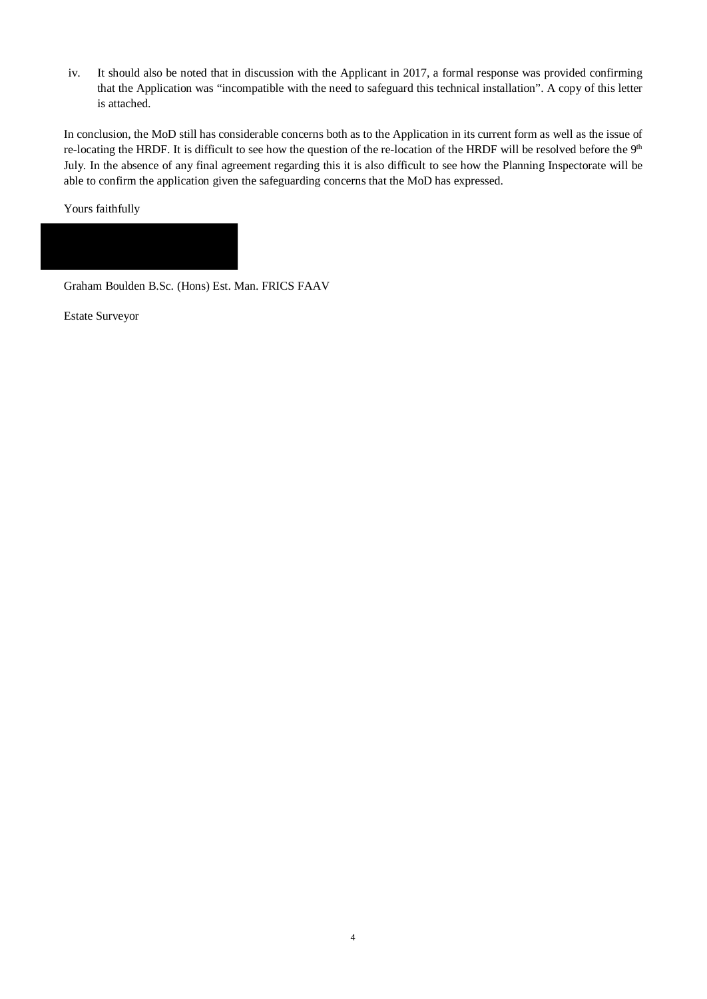iv. It should also be noted that in discussion with the Applicant in 2017, a formal response was provided confirming that the Application was "incompatible with the need to safeguard this technical installation". A copy of this letter is attached.

In conclusion, the MoD still has considerable concerns both as to the Application in its current form as well as the issue of re-locating the HRDF. It is difficult to see how the question of the re-location of the HRDF will be resolved before the 9<sup>th</sup> July. In the absence of any final agreement regarding this it is also difficult to see how the Planning Inspectorate will be able to confirm the application given the safeguarding concerns that the MoD has expressed.

Yours faithfully

Graham Boulden B.Sc. (Hons) Est. Man. FRICS FAAV

Estate Surveyor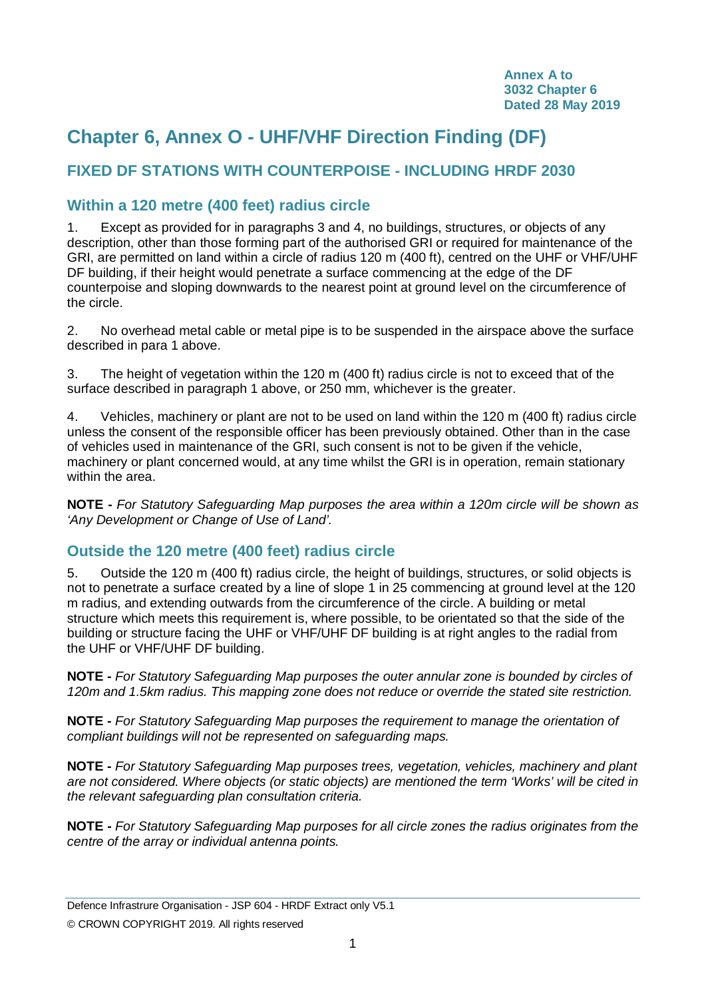# **Chapter 6, Annex O - UHF/VHF Direction Finding (DF)**

# **FIXED DF STATIONS WITH COUNTERPOISE - INCLUDING HRDF 2030**

# **Within a 120 metre (400 feet) radius circle**

1. Except as provided for in paragraphs 3 and 4, no buildings, structures, or objects of any description, other than those forming part of the authorised GRI or required for maintenance of the GRI, are permitted on land within a circle of radius 120 m (400 ft), centred on the UHF or VHF/UHF DF building, if their height would penetrate a surface commencing at the edge of the DF counterpoise and sloping downwards to the nearest point at ground level on the circumference of the circle.

2. No overhead metal cable or metal pipe is to be suspended in the airspace above the surface described in para 1 above.

3. The height of vegetation within the 120 m (400 ft) radius circle is not to exceed that of the surface described in paragraph 1 above, or 250 mm, whichever is the greater.

4. Vehicles, machinery or plant are not to be used on land within the 120 m (400 ft) radius circle unless the consent of the responsible officer has been previously obtained. Other than in the case of vehicles used in maintenance of the GRI, such consent is not to be given if the vehicle, machinery or plant concerned would, at any time whilst the GRI is in operation, remain stationary within the area.

**NOTE -** *For Statutory Safeguarding Map purposes the area within a 120m circle will be shown as 'Any Development or Change of Use of Land'.*

# **Outside the 120 metre (400 feet) radius circle**

5. Outside the 120 m (400 ft) radius circle, the height of buildings, structures, or solid objects is not to penetrate a surface created by a line of slope 1 in 25 commencing at ground level at the 120 m radius, and extending outwards from the circumference of the circle. A building or metal structure which meets this requirement is, where possible, to be orientated so that the side of the building or structure facing the UHF or VHF/UHF DF building is at right angles to the radial from the UHF or VHF/UHF DF building.

**NOTE -** *For Statutory Safeguarding Map purposes the outer annular zone is bounded by circles of 120m and 1.5km radius. This mapping zone does not reduce or override the stated site restriction.*

**NOTE -** *For Statutory Safeguarding Map purposes the requirement to manage the orientation of compliant buildings will not be represented on safeguarding maps.*

**NOTE -** *For Statutory Safeguarding Map purposes trees, vegetation, vehicles, machinery and plant are not considered. Where objects (or static objects) are mentioned the term 'Works' will be cited in the relevant safeguarding plan consultation criteria.*

**NOTE -** *For Statutory Safeguarding Map purposes for all circle zones the radius originates from the centre of the array or individual antenna points.*

Defence Infrastrure Organisation - JSP 604 - HRDF Extract only V5.1

© CROWN COPYRIGHT 2019. All rights reserved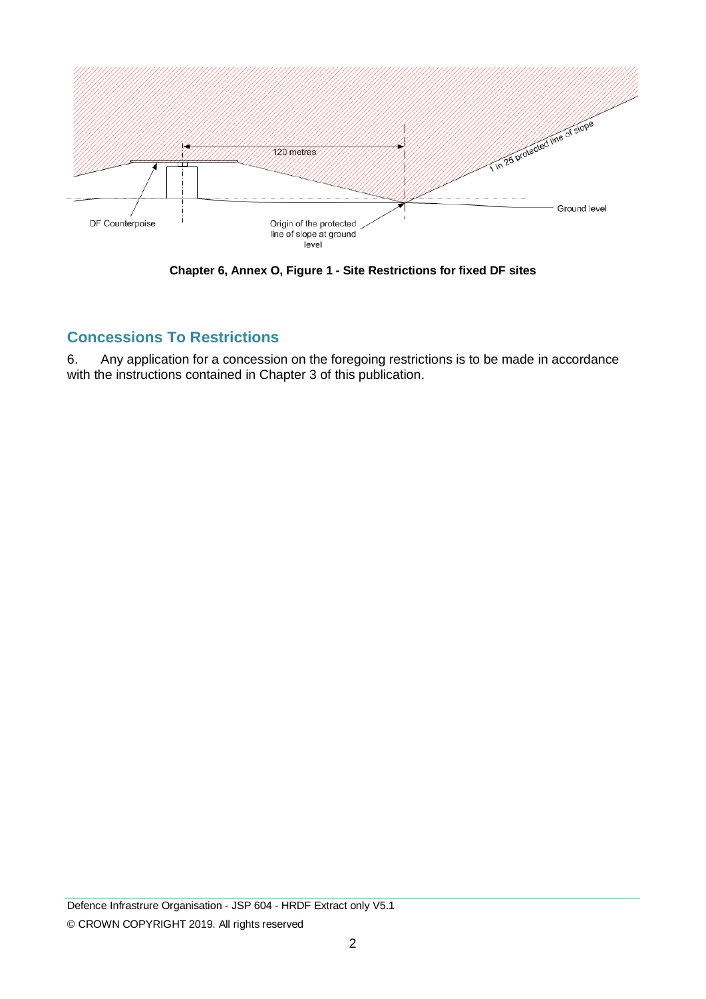

**Chapter 6, Annex O, Figure 1 - Site Restrictions for fixed DF sites**

# **Concessions To Restrictions**

6. Any application for a concession on the foregoing restrictions is to be made in accordance with the instructions contained in Chapter 3 of this publication.